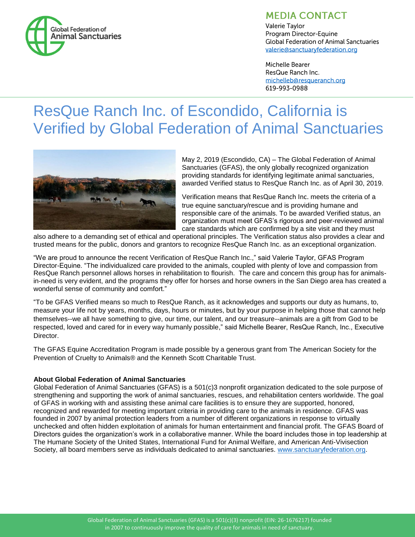

# **MEDIA CONTACT**

**Valerie Tavlor** Program Director-Equine **Global Federation of Animal Sanctuaries** valerie@sanctuaryfederation.org

Michelle Bearer ResQue Ranch Inc. michelleb@resqueranch.org 619-993-0988

# ResQue Ranch Inc. of Escondido, California is Verified by Global Federation of Animal Sanctuaries



May 2, 2019 (Escondido, CA) – The Global Federation of Animal Sanctuaries (GFAS), the only globally recognized organization providing standards for identifying legitimate animal sanctuaries, awarded Verified status to ResQue Ranch Inc. as of April 30, 2019.

Verification means that ResQue Ranch Inc. meets the criteria of a true equine sanctuary/rescue and is providing humane and responsible care of the animals. To be awarded Verified status, an organization must meet GFAS's rigorous and peer-reviewed animal care standards which are confirmed by a site visit and they must

also adhere to a demanding set of ethical and operational principles. The Verification status also provides a clear and trusted means for the public, donors and grantors to recognize ResQue Ranch Inc. as an exceptional organization.

"We are proud to announce the recent Verification of ResQue Ranch Inc.," said Valerie Taylor, GFAS Program Director-Equine. "The individualized care provided to the animals, coupled with plenty of love and compassion from ResQue Ranch personnel allows horses in rehabilitation to flourish. The care and concern this group has for animalsin-need is very evident, and the programs they offer for horses and horse owners in the San Diego area has created a wonderful sense of community and comfort."

"To be GFAS Verified means so much to ResQue Ranch, as it acknowledges and supports our duty as humans, to, measure your life not by years, months, days, hours or minutes, but by your purpose in helping those that cannot help themselves--we all have something to give, our time, our talent, and our treasure--animals are a gift from God to be respected, loved and cared for in every way humanly possible," said Michelle Bearer, ResQue Ranch, Inc., Executive Director.

The GFAS Equine Accreditation Program is made possible by a generous grant from The American Society for the Prevention of Cruelty to Animals® and the Kenneth Scott Charitable Trust.

## **About Global Federation of Animal Sanctuaries**

Global Federation of Animal Sanctuaries (GFAS) is a 501(c)3 nonprofit organization dedicated to the sole purpose of strengthening and supporting the work of animal sanctuaries, rescues, and rehabilitation centers worldwide. The goal of GFAS in working with and assisting these animal care facilities is to ensure they are supported, honored, recognized and rewarded for meeting important criteria in providing care to the animals in residence. GFAS was founded in 2007 by animal protection leaders from a number of different organizations in response to virtually unchecked and often hidden exploitation of animals for human entertainment and financial profit. The GFAS Board of Directors guides the organization's work in a collaborative manner. While the board includes those in top leadership at The Humane Society of the United States, International Fund for Animal Welfare, and American Anti-Vivisection Society, all board members serve as individuals dedicated to animal sanctuaries. [www.sanctuaryfederation.org.](http://www.sanctuaryfederation.org/)